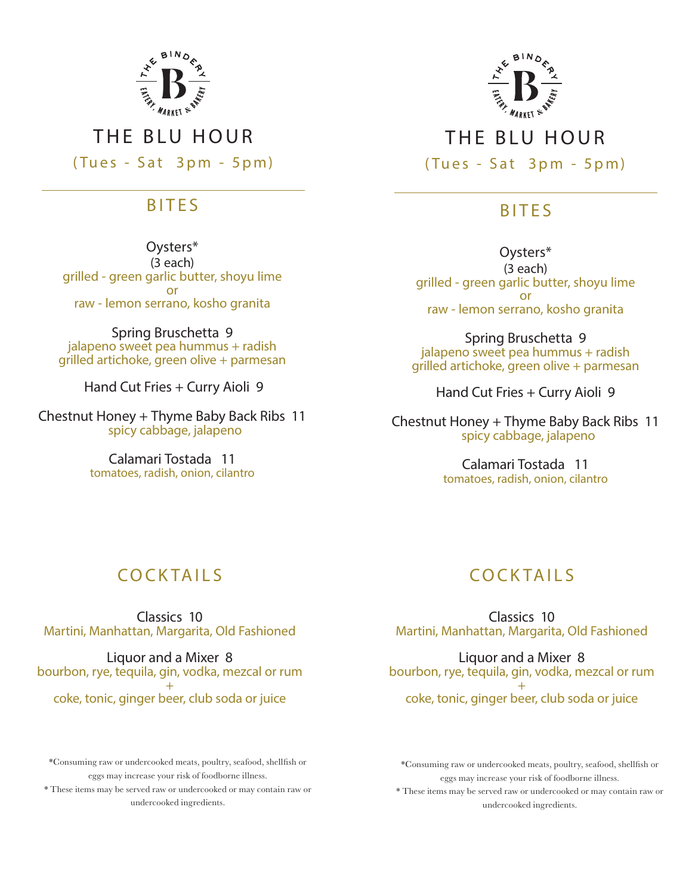

### THE BLU HOUR

(Tues - Sat 3pm - 5pm)

#### BITES

Oysters\* (3 each) grilled - green garlic butter, shoyu lime or raw - lemon serrano, kosho granita

Spring Bruschetta 9 jalapeno sweet pea hummus + radish grilled artichoke, green olive + parmesan

Hand Cut Fries + Curry Aioli 9

Chestnut Honey + Thyme Baby Back Ribs 11 spicy cabbage, jalapeno

> Calamari Tostada 11 tomatoes, radish, onion, cilantro

# **COCK TAILS**

Classics 10 Martini, Manhattan, Margarita, Old Fashioned

Liquor and a Mixer 8 bourbon, rye, tequila, gin, vodka, mezcal or rum + coke, tonic, ginger beer, club soda or juice

\*Consuming raw or undercooked meats, poultry, seafood, shellfish or eggs may increase your risk of foodborne illness.

\* These items may be served raw or undercooked or may contain raw or undercooked ingredients.